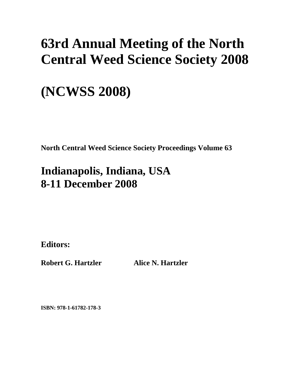# **63rd Annual Meeting of the North Central Weed Science Society 2008**

# **(NCWSS 2008)**

**North Central Weed Science Society Proceedings Volume 63** 

# **Indianapolis, Indiana, USA 8-11 December 2008**

**Editors:** 

**Robert G. Hartzler Alice N. Hartzler** 

**ISBN: 978-1-61782-178-3**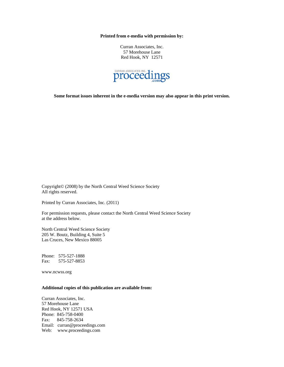**Printed from e-media with permission by:** 

Curran Associates, Inc. 57 Morehouse Lane Red Hook, NY 12571



**Some format issues inherent in the e-media version may also appear in this print version.** 

Copyright© (2008) by the North Central Weed Science Society All rights reserved.

Printed by Curran Associates, Inc. (2011)

For permission requests, please contact the North Central Weed Science Society at the address below.

North Central Weed Science Society 205 W. Boutz, Building 4, Suite 5 Las Cruces, New Mexico 88005

Phone: 575-527-1888 Fax: 575-527-8853

www.ncwss.org

#### **Additional copies of this publication are available from:**

Curran Associates, Inc. 57 Morehouse Lane Red Hook, NY 12571 USA Phone: 845-758-0400 Fax: 845-758-2634 Email: curran@proceedings.com Web: www.proceedings.com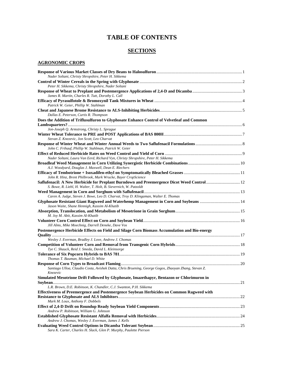### **TABLE OF CONTENTS**

#### **SECTIONS**

#### **AGRONOMIC CROPS**

| Nader Soltani, Christy Shropshire, Peter H. Sikkema                                                              |  |
|------------------------------------------------------------------------------------------------------------------|--|
|                                                                                                                  |  |
| Peter H. Sikkema, Christy Shropshire, Nader Soltani                                                              |  |
|                                                                                                                  |  |
| James R. Martin, Charles R. Tutt, Dorothy L. Call                                                                |  |
|                                                                                                                  |  |
| Patrick W. Geier, Phillip W. Stahlman                                                                            |  |
| Dallas E. Peterson, Curtis R. Thompson                                                                           |  |
| Does the Addition of Triflusulfuron to Glyphosate Enhance Control of Velvetleaf and Common                       |  |
|                                                                                                                  |  |
| Jon-Joseph Q. Armstrong, Christy L. Sprague                                                                      |  |
|                                                                                                                  |  |
| Stevan Z. Knezevic, Jon Scott, Leo Charvat                                                                       |  |
|                                                                                                                  |  |
| John C. Frihauf, Phillip W. Stahlman, Patrick W. Geier                                                           |  |
|                                                                                                                  |  |
| Nader Soltani, Laura Van Eerd, Richard Vyn, Christy Shropshire, Peter H. Sikkema                                 |  |
|                                                                                                                  |  |
| A.J. Woodyard, Douglas J. Maxwell, Dean E. Riechers                                                              |  |
|                                                                                                                  |  |
| John R. Hinz, Brent Philbrook, Mark Wrucke, Bayer CropScience                                                    |  |
|                                                                                                                  |  |
| S. Bowe, R. Liebl, H. Walter, T. Holt, B. Sievernich, W. Patzoldt                                                |  |
|                                                                                                                  |  |
| Caren A. Judge, Steven J. Bowe, Leo D. Charvat, Troy D. Klingaman, Walter E. Thomas                              |  |
| Glyphosate Resistant Giant Ragweed and Waterhemp Management in Corn and Soybeans  14                             |  |
| Jason Waite, Shane Hennigh, Kassim Al-Khatib                                                                     |  |
| M. Joy M. Abit, Kassim Al-Khatib                                                                                 |  |
|                                                                                                                  |  |
| Jill Alms, Mike Moechnig, Darrell Deneke, Dave Vos                                                               |  |
| Postemergence Herbicide Effects on Field and Silage Corn Biomass Accumulation and Bio-energy                     |  |
|                                                                                                                  |  |
| Wesley J. Everman, Bradley J. Love, Andrew J. Chomas                                                             |  |
|                                                                                                                  |  |
| Tye C. Shauck, Reid J. Smeda, David L. Kleinsorge                                                                |  |
|                                                                                                                  |  |
| Thomas T. Bauman, Michael D. White                                                                               |  |
|                                                                                                                  |  |
| Santiago Ulloa, Claudio Costa, Avishek Datta, Chris Bruening, George Gogos, Zhaoyan Zhang, Stevan Z.<br>Knezevic |  |
| Simulated Mesotrione Drift Followed by Glyphosate, Imazethapyr, Bentazon or Chlorimuron in                       |  |
|                                                                                                                  |  |
| L.R. Brown, D.E. Robinson, K. Chandler, C.J. Swanton, P.H. Sikkema                                               |  |
| Effectiveness of Preemergence and Postemergence Soybean Herbicides on Common Ragweed with                        |  |
|                                                                                                                  |  |
| Mark M. Loux, Anthony F. Dobbels                                                                                 |  |
|                                                                                                                  |  |
| Andrew P. Robinson, William G. Johnson                                                                           |  |
|                                                                                                                  |  |
| Andrew J. Chomas, Wesley J. Everman, James J. Kells                                                              |  |
|                                                                                                                  |  |
| Sara K. Carter, Charles H. Slack, Glen P. Murphy, Paulette Pierson                                               |  |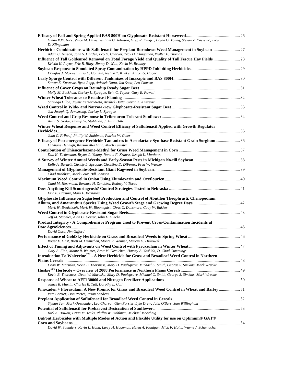| Glenn R.W. Nice, Vince M. Davis, William G. Johnson, Greg R. Kruger, Bryan G. Young, Stevan Z. Knezevic, Troy<br>D. Klingaman                                                                                        |  |
|----------------------------------------------------------------------------------------------------------------------------------------------------------------------------------------------------------------------|--|
| Herbicide Combinations with Saflufenacil for Preplant Burndown Weed Management in Soybean  27<br>Adam C. Hixson, John S. Harden, Leo D. Charvat, Troy D. Klingaman, Walter E. Thomas                                 |  |
| Influence of Tall Goldenrod Removal on Total Forage Yield and Quality of Tall Fescue Hay Fields  28<br>Kristin K. Payne, Eric B. Riley, Jimmy D. Wait, Kevin W. Bradley                                              |  |
| Douglas J. Maxwell, Lisa C. Gonzini, Joshua T. Kunkel, Aaron G. Hager                                                                                                                                                |  |
| Stevan Z. Knezevic, Ryan Rapp, Avishek Datta, Jon Scott, Leo Charvat                                                                                                                                                 |  |
|                                                                                                                                                                                                                      |  |
| Molly M. Buckham, Christy L. Sprague, Erin C. Taylor, Gary E. Powell                                                                                                                                                 |  |
|                                                                                                                                                                                                                      |  |
| Santiago Ulloa, Jayme Ferrari-Neto, Avishek Datta, Stevan Z. Knezevic                                                                                                                                                |  |
| Jon-Joseph Q. Armstrong, Christy L. Sprague                                                                                                                                                                          |  |
| Amar S. Godar, Phillip W. Stahlman, J. Anita Dille                                                                                                                                                                   |  |
| Winter Wheat Response and Weed Control Efficacy of Saflufenacil Applied with Growth Regulator                                                                                                                        |  |
| John C. Frihauf, Phillip W. Stahlman, Patrick W. Geier                                                                                                                                                               |  |
| Efficacy of Postemergence Herbicide Tankmixes in Acetolactate Synthase Resistant Grain Sorghum 36<br>D. Shane Hennigh, Kassim Al-Khatib, Mitch Tuinstra                                                              |  |
|                                                                                                                                                                                                                      |  |
| Dan K. Tiedemann, Bryan G. Young, Ronald F. Krausz, Joseph L. Matthews<br>Kelly A. Barnett, Christy L. Sprague, Christina D. DiFonzo, Fred W. Warner                                                                 |  |
|                                                                                                                                                                                                                      |  |
| Chad Brabham, Mark Loux, Bill Johnson                                                                                                                                                                                |  |
| Chad M. Herrmann, Bernard H. Zandstra, Rodney V. Tocco                                                                                                                                                               |  |
|                                                                                                                                                                                                                      |  |
| Eric E. Frasure, Mark L. Bernards<br>Glyphosate Influence on Sugarbeet Production and Control of Abutilon Theophrasti, Chenopodium                                                                                   |  |
| Mark W. Bredehoeft, Mark W. Bloomquist, Chris C. Dunsmore, Cody W. Bakker                                                                                                                                            |  |
|                                                                                                                                                                                                                      |  |
| Jeff M. Stachler, Alan G. Dexter, John L. Luecke                                                                                                                                                                     |  |
| Product Integrity - A Comprehensive Program Used to Prevent Cross-Contamination Incidents at                                                                                                                         |  |
| David Ouse, Jim Gifford                                                                                                                                                                                              |  |
| Roger E. Gast, Brett M. Oemichen, Monte R. Weimer, Marcin D. Dzikowski                                                                                                                                               |  |
|                                                                                                                                                                                                                      |  |
| Gary A. Finn, Monte R. Weimer, Brett M. Oemichen, Harvey A. Yoshida, D. Chad Cummings<br>Introduction To Wolverine $^{\text{\tiny{\textsf{TM}}}}$ - A New Herbicide for Grass and Broadleaf Weed Control in Northern |  |
|                                                                                                                                                                                                                      |  |
| Dean W. Maruska, Kevin B. Thorsness, Mary D. Paulsgrove, Michael C. Smith, George S. Simkins, Mark Wrucke                                                                                                            |  |
| Kevin B. Thorsness, Dean W. Maruska, Mary D. Paulsgrove, Michael C. Smith, George S. Simkins, Mark Wrucke                                                                                                            |  |
| James R. Martin, Charles R. Tutt, Dorothy L. Call                                                                                                                                                                    |  |
| Pinoxaden + Florasulam: A New Premix for Grass and Broadleaf Weed Control in Wheat and Barley 51                                                                                                                     |  |
| Pete Forster, Don Porter, Jason Sanders                                                                                                                                                                              |  |
| Siyuan Tan, Mark Oostlander, Leo Charvat, Glen Forster, Lyle Drew, John O'Barr, Sam Willingham                                                                                                                       |  |
|                                                                                                                                                                                                                      |  |
| Kirk A. Howatt, Brian M. Jenks, Phillip W. Stahlman, Michael Moechnig                                                                                                                                                |  |
| DuPont Herbicides with Multiple Modes of Action and Flexible Utility for use on Optimum® GAT®                                                                                                                        |  |
| David W. Saunders, Kevin L. Hahn, Larry H. Hageman, Helen A. Flanigan, Mick F. Holm, Wayne J. Schumacher                                                                                                             |  |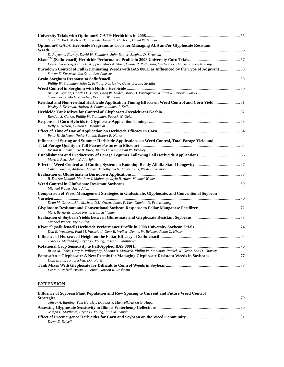| Susan K. Rick, Michael T. Edwards, James D. Harbour, David W. Saunders                                                                                  |  |
|---------------------------------------------------------------------------------------------------------------------------------------------------------|--|
| Optimum® GAT® Herbicide Programs as Tools for Managing ALS and/or Glyphosate Resistant                                                                  |  |
|                                                                                                                                                         |  |
| D. Raymond Forney, David W. Saunders, John Beitler, Stephen D. Strachan                                                                                 |  |
|                                                                                                                                                         |  |
| Dan E. Westberg, Brady F. Kappler, Mark A. Storr, Duane P. Rathmann, Garfield G. Thomas, Caren A. Judge                                                 |  |
| Burndown Control of Fall Germinating Weeds with BAS 800H as Influenced by the Type of Adjuvant 58<br>Stevan Z. Knezevic, Jon Scott, Leo Charvat         |  |
| Phillip W. Stahlman, John C. Frihauf, Patrick W. Geier, Loretta Serafin                                                                                 |  |
|                                                                                                                                                         |  |
| Amy M. Wyman, Charles P. Hicks, Greg W. Hudec, Mary D. Paulsgrove, William R. Perkins, Gary L.<br>Schwarzlose, Michael Weber, Kevin K. Watteyne         |  |
| Residual and Non-residual Herbicide Application Timing Effects on Weed Control and Corn Yield 61<br>Wesley J. Everman, Andrew J. Chomas, James J. Kells |  |
|                                                                                                                                                         |  |
| Randall S. Currie, Phillip W. Stahlman, Patrick W. Geier                                                                                                |  |
|                                                                                                                                                         |  |
| Kelly A. Nelson, Clinton G. Meinhardt                                                                                                                   |  |
|                                                                                                                                                         |  |
| Peter H. Sikkema, Nader Soltani, Robert E. Nurse                                                                                                        |  |
| Influence of Spring and Summer Herbicide Applications on Weed Control, Total Forage Yield and                                                           |  |
|                                                                                                                                                         |  |
| Kristin K. Payne, Eric B. Riley, Jimmy D. Wait, Kevin W. Bradley                                                                                        |  |
| Mark J. Renz, John W. Albright                                                                                                                          |  |
|                                                                                                                                                         |  |
| Calvin Glaspie, Andrew Chomas, Timothy Dietz, James Kells, Wesley Everman                                                                               |  |
|                                                                                                                                                         |  |
| R. Darren Unland, Matthew J. Mahoney, Jayla R. Allen, Michael Weber                                                                                     |  |
| Michael Weber, Jayla Allen                                                                                                                              |  |
| Comparison of Weed Management Strategies in Glufosinate, Glyphosate, and Conventional Soybean                                                           |  |
|                                                                                                                                                         |  |
| Dean M. Grossnickle, Micheal D.K. Owen, James F. Lux, Damian D. Franzenburg                                                                             |  |
|                                                                                                                                                         |  |
| Mark Bernards, Lucas Perim, Irvin Schleufer                                                                                                             |  |
|                                                                                                                                                         |  |
| Michael Weber, Jayla Allen                                                                                                                              |  |
|                                                                                                                                                         |  |
| Dan E. Westberg, Paul M. Vassalotti, Gery R. Welker, Dennis W. Belcher, Adam C. Hixson                                                                  |  |
|                                                                                                                                                         |  |
| Tracy G. Mellendorf, Bryan G. Young, Joseph L. Matthews                                                                                                 |  |
|                                                                                                                                                         |  |
| Brian M. Jenks, Gary P. Willoughby, Shanna A. Mazurek, Phillip W. Stahlman, Patrick W. Geier, Leo D. Charvat                                            |  |
| Dain Bruns, Tom Beckett, Don Porter                                                                                                                     |  |
|                                                                                                                                                         |  |
| Dawn E. Refsell, Bryan G. Young, Gordon K. Roskamp                                                                                                      |  |

## **EXTENSION**

| Influence of Sovbean Plant Population and Row Spacing to Current and Future Weed Control |  |
|------------------------------------------------------------------------------------------|--|
|                                                                                          |  |
| Jeffrey A. Bunting, Tom Hunsley, Douglas J. Maxwell, Aaron G. Hager                      |  |
|                                                                                          |  |
| Joseph L. Matthews, Bryan G. Young, Julie M. Young                                       |  |
|                                                                                          |  |
| Dawn E. Refsell                                                                          |  |
|                                                                                          |  |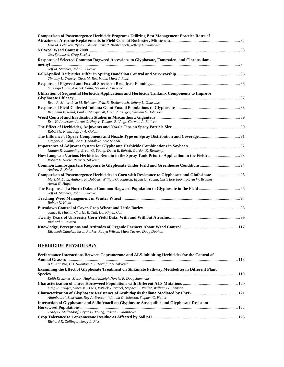| <b>Comparison of Postemergence Herbicide Programs Utilizing Best Management Practice Rates of</b>                         |  |
|---------------------------------------------------------------------------------------------------------------------------|--|
|                                                                                                                           |  |
| Lisa M. Behnken, Ryan P. Miller, Fritz R. Breitenbach, Jeffery L. Gunsolus                                                |  |
|                                                                                                                           |  |
| Jess Spotanski, Greg Steckel                                                                                              |  |
| Response of Selected Common Ragweed Accessions to Glyphosate, Fomesafen, and Cloransulam-                                 |  |
|                                                                                                                           |  |
| Jeff M. Stachler, John L. Luecke                                                                                          |  |
|                                                                                                                           |  |
| Timothy L. Trower, Chris M. Boerboom, Mark J. Renz                                                                        |  |
|                                                                                                                           |  |
| Santiago Ulloa, Avishek Datta, Stevan Z. Knezevic                                                                         |  |
| Utilization of Sequential Herbicide Applications and Herbicide Tankmix Components to Improve                              |  |
|                                                                                                                           |  |
| Ryan P. Miller, Lisa M. Behnken, Fritz R. Breitenbach, Jeffery L. Gunsolus                                                |  |
|                                                                                                                           |  |
| Benjamin E. Neild, Paul T. Marquardt, Greg R. Kruger, William G. Johnson                                                  |  |
|                                                                                                                           |  |
| Eric K. Anderson, Aaron G. Hager, Thomas B. Voigt, Germán A. Bollero                                                      |  |
| Robert N. Klein, Jeffrey A. Golus                                                                                         |  |
|                                                                                                                           |  |
| Gregory K. Dahl, Joe V. Gednalske, Eric Spandl                                                                            |  |
| Nathan R. Johanning, Bryan G. Young, Dawn E. Refsell, Gordon K. Roskamp                                                   |  |
|                                                                                                                           |  |
| Robert E. Nurse, Peter H. Sikkema                                                                                         |  |
| Andrew R. Kniss                                                                                                           |  |
|                                                                                                                           |  |
| Mark M. Loux, Anthony F. Dobbels, William G. Johnson, Bryan G. Young, Chris Boerboom, Kevin W. Bradley,<br>Aaron G. Hager |  |
| Jeff M. Stachler, John L. Luecke                                                                                          |  |
|                                                                                                                           |  |
| Robert N. Klein                                                                                                           |  |
| James R. Martin, Charles R. Tutt, Dorothy L. Call                                                                         |  |
|                                                                                                                           |  |
| Richard S. Fawcett                                                                                                        |  |
| Elizabeth Canales, Jason Parker, Robyn Wilson, Mark Tucker, Doug Doohan                                                   |  |

#### **HERBICIDE PHYSIOLOGY**

| Performance Interactions Between Topramezone and ALS-inhibiting Herbicides for the Control of           |  |
|---------------------------------------------------------------------------------------------------------|--|
|                                                                                                         |  |
| A.C. Kaastra, C.J. Swanton, F.J. Tardif, P.H. Sikkema                                                   |  |
| <b>Examining the Effect of Glyphosate Treatment on Shikimate Pathway Metabolites in Different Plant</b> |  |
|                                                                                                         |  |
| Keith Kretzmer, Mason Hughes, Ashleigh Norris, R. Doug Sammons                                          |  |
|                                                                                                         |  |
| Greg R. Kruger, Vince M. Davis, Patrick J. Tranel, Stephen C. Weller, William G. Johnson                |  |
| Altanbadralt Sharkhuu, Ray A. Bressan, William G. Johnson, Stephen C. Weller                            |  |
| Interaction of Glyphosate and Saflufenacil on Glyphosate-Susceptible and Glyphosate-Resistant           |  |
|                                                                                                         |  |
| Tracy G. Mellendorf, Bryan G. Young, Joseph L. Matthews                                                 |  |
|                                                                                                         |  |
| Richard K. Zollinger, Jerry L. Ries                                                                     |  |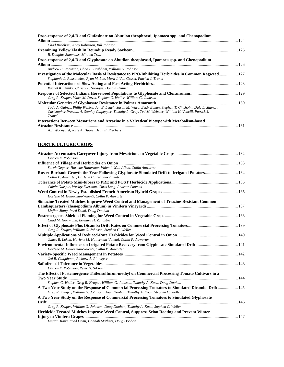| Dose-response of 2,4-D and Glufosinate on Abutilon theophrasti, Ipomoea spp. and Chenopodium                                                                                                                                          |       |
|---------------------------------------------------------------------------------------------------------------------------------------------------------------------------------------------------------------------------------------|-------|
|                                                                                                                                                                                                                                       |       |
| Chad Brabham, Andy Robinson, Bill Johnson                                                                                                                                                                                             |       |
|                                                                                                                                                                                                                                       |       |
| R. Douglas Sammons, Mintien Tran                                                                                                                                                                                                      |       |
| Dose-response of 2,4-D and Glyphosate on Abutilon theophrasti, Ipomoea spp. and Chenopodium                                                                                                                                           |       |
|                                                                                                                                                                                                                                       |       |
| Andrew P. Robinson, Chad B. Brabham, William G. Johnson                                                                                                                                                                               |       |
| Investigation of the Molecular Basis of Resistance to PPO-Inhibiting Herbicides in Common Ragweed 127<br>Stephanie L. Rousonelos, Ryan M. Lee, Mark J. Van Gessel, Patrick J. Tranel                                                  |       |
| Rachel K. Bethke, Christy L. Sprague, Donald Penner                                                                                                                                                                                   |       |
| Greg R. Kruger, Vince M. Davis, Stephen C. Weller, William G. Johnson                                                                                                                                                                 |       |
| Todd A. Gaines, Philip Westra, Jan E. Leach, Sarah M. Ward, Bekir Bukun, Stephen T. Chisholm, Dale L. Shaner,<br>Christopher Preston, A. Stanley Culpepper, Timothy L. Gray, Ted M. Webster, William K. Vencill, Patrick J.<br>Tranel |       |
| Interactions Between Mesotrione and Atrazine in a Velvetleaf Biotype with Metabolism-based                                                                                                                                            |       |
|                                                                                                                                                                                                                                       | . 131 |

*A.J. Woodyard, Josie A. Hugie, Dean E. Riechers* 

#### **HORTICULTURE CROPS**

| Darren E. Robinson                                                                                |  |
|---------------------------------------------------------------------------------------------------|--|
|                                                                                                   |  |
| Sarah Gegner, Harlene Hatterman-Valenti, Walt Albus, Collin Auwarter                              |  |
| Russet Burbank Growth the Year Following Glyphosate Simulated Drift to Irrigated Potatoes 134     |  |
| Collin P. Auwarter, Harlene Hatterman-Valenti                                                     |  |
|                                                                                                   |  |
| Calvin Glaspie, Wesley Everman, Chris Long, Andrew Chomas                                         |  |
| Harlene M. Hatterman-Valenti, Collin P. Auwarter                                                  |  |
| Simazine-Treated Mulches Improve Weed Control and Management of Triazine-Resistant Common         |  |
|                                                                                                   |  |
| Linjian Jiang, Imed Dami, Doug Doohan                                                             |  |
|                                                                                                   |  |
| Chad M. Herrmann, Bernard H. Zandstra                                                             |  |
|                                                                                                   |  |
| Greg R. Kruger, William G. Johnson, Stephen C. Weller                                             |  |
| James R. Loken, Harlene M. Hatterman-Valenti, Collin P. Auwarter                                  |  |
| Harlene M. Hatterman-Valenti, Collin P. Auwarter                                                  |  |
|                                                                                                   |  |
| Jed B. Colquhoun, Richard A. Rittmeyer                                                            |  |
|                                                                                                   |  |
| Darren E. Robinson, Peter H. Sikkema                                                              |  |
| The Effect of Postemergence Thifensulfuron-methyl on Commercial Processing Tomato Cultivars in a  |  |
|                                                                                                   |  |
| Stephen C. Weller, Greg R. Kruger, William G. Johnson, Timothy A. Koch, Doug Doohan               |  |
| A Two Year Study on the Response of Commercial Processing Tomatoes to Simulated Dicamba Drift 145 |  |
| Greg R. Kruger, William G. Johnson, Doug Doohan, Timothy A. Koch, Stephen C. Weller               |  |
| A Two Year Study on the Response of Commercial Processing Tomatoes to Simulated Glyphosate        |  |
| Greg R. Kruger, William G. Johnson, Doug Doohan, Timothy A. Koch, Stephen C. Weller               |  |
| Herbicide Treated Mulches Improve Weed Control, Suppress Scion Rooting and Prevent Winter         |  |
|                                                                                                   |  |
| Linjian Jiang, Imed Dami, Hannah Mathers, Doug Doohan                                             |  |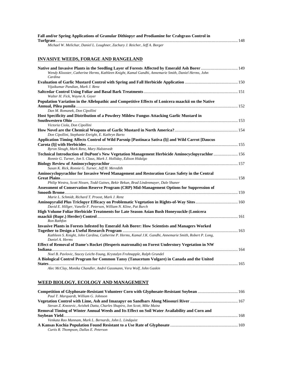| Fall and/or Spring Applications of Granular Dithiopyr and Prodiamine for Crabgrass Control in |  |
|-----------------------------------------------------------------------------------------------|--|
|                                                                                               |  |
| Michael W. Melichar, Daniel L. Loughner, Zachary J. Reicher, Jeff A. Borger                   |  |

#### **INVASIVE WEEDS, FORAGE AND RANGELAND**

| Native and Invasive Plants in the Seedling Layer of Forests Affected by Emerald Ash Borer  149<br>Wendy Klooster, Catherine Herms, Kathleen Knight, Kamal Gandhi, Annemarie Smith, Daniel Herms, John<br>Cardina |  |
|------------------------------------------------------------------------------------------------------------------------------------------------------------------------------------------------------------------|--|
|                                                                                                                                                                                                                  |  |
| Vijaikumar Pandian, Mark J. Renz                                                                                                                                                                                 |  |
| Walter H. Fick, Wayne A. Geyer                                                                                                                                                                                   |  |
| Population Variation in the Allelopathic and Competitive Effects of Lonicera maackii on the Native<br>Dan M. Romanek, Don Cipollini                                                                              |  |
| Host Specificity and Distribution of a Powdery Mildew Fungus Attacking Garlic Mustard in                                                                                                                         |  |
| Victoria Ciola, Don Cipollini                                                                                                                                                                                    |  |
| Don Cipollini, Stephanie Enright, E. Kathryn Barto                                                                                                                                                               |  |
| Application Timing Affects Control of Wild Parsnip [Pastinaca Sativa (1)] and Wild Carrot [Daucus                                                                                                                |  |
| Byron Sleugh, Mark Renz, Mary Halstevedt                                                                                                                                                                         |  |
| 156. Technical Introduction of DuPont's New Vegetation Management Herbicide Aminocyclopyrachlor 156<br>Ronnie G. Turner, Jon S. Claus, Mark J. Holliday, Edison Hidalgo                                          |  |
| Susan K. Rick, Ronnie G. Turner, Jeff H. Meredith                                                                                                                                                                |  |
| Aminocyclopyrachlor for Invasive Weed Management and Restoration Grass Safety in the Central                                                                                                                     |  |
| Philip Westra, Scott Nissen, Todd Gaines, Bekir Bekun, Brad Lindenmayer, Dale Shaner                                                                                                                             |  |
| Assessment of Conservation Reserve Program (CRP) Mid-Management Options for Suppression of                                                                                                                       |  |
| Marie L. Schmidt, Richard T. Proost, Mark J. Renz.                                                                                                                                                               |  |
| David E. Hillger, Vanelle F. Peterson, William N. Kline, Pat Burch                                                                                                                                               |  |
| High Volume Foliar Herbicide Treatments for Late Season Asian Bush Honeysuckle (Lonicera<br>Ron Rathfon                                                                                                          |  |
| Invasive Plants in Forests Infested by Emerald Ash Borer: How Scientists and Managers Worked                                                                                                                     |  |
| Kathleen S. Knight, John Cardina, Catherine P. Herms, Kamal J.K. Gandhi, Annemarie Smith, Robert P. Long,<br>Daniel A. Herms                                                                                     |  |
| Effect of Removal of Dame's Rocket (Hesperis matronalis) on Forest Understory Vegetation in NW                                                                                                                   |  |
| Indiana.                                                                                                                                                                                                         |  |
| Noel B. Pavlovic, Stacey Leicht-Young, Krystalyn Frohnapple, Ralph Grundel<br>A Biological Control Program for Common Tansy (Tanacetum Vulgare) in Canada and the United                                         |  |
| $\mathbf{u}$ $\mathbf{u}$ $\mathbf{u}$ $\mathbf{u}$ $\mathbf{u}$ $\mathbf{u}$ $\mathbf{u}$ $\mathbf{u}$ $\mathbf{u}$                                                                                             |  |

*Alec McClay, Monika Chandler, André Gassmann, Vera Wolf, John Gaskin* 

#### **WEED BIOLOGY, ECOLOGY AND MANAGEMENT**

| Paul T. Marquardt, William G. Johnson                                                        |  |
|----------------------------------------------------------------------------------------------|--|
|                                                                                              |  |
| Stevan Z. Knezevic, Avishek Datta, Charles Shapiro, Jon Scott, Mike Mainz                    |  |
| Removal Timing of Winter Annual Weeds and Its Effect on Soil Water Availability and Corn and |  |
|                                                                                              |  |
| Venkata Rao Mannam, Mark L. Bernards, John L. Lindquist                                      |  |
|                                                                                              |  |
| Curtis R. Thompson, Dallas E. Peterson                                                       |  |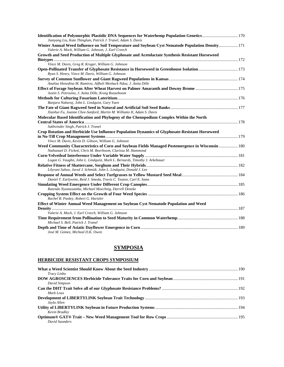| Identification of Polymorphic Plastidic DNA Sequences for Waterhemp Population Genetics 170<br>Jianyang Liu, Kate Thinglum, Patrick J. Tranel, Adam S. Davis |  |
|--------------------------------------------------------------------------------------------------------------------------------------------------------------|--|
| Winter Annual Weed Influence on Soil Temperature and Soybean Cyst Nematode Population Density 171                                                            |  |
| Valerie A. Mock, William G. Johnson, J. Earl Creech                                                                                                          |  |
| Growth and Seed Production of Multiple Glyphosate and Acetolactate Synthesis Resistant Horseweed                                                             |  |
|                                                                                                                                                              |  |
| Vince M. Davis, Greg R. Kruger, William G. Johnson                                                                                                           |  |
| Open-Pollinated Transfer of Glyphosate Resistance in Horseweed in Greenhouse Isolation  173<br>Ryan S. Henry, Vince M. Davis, William G. Johnson             |  |
|                                                                                                                                                              |  |
| Analiza Henedina M. Ramirez, Aifheli Meshack Ndou, J. Anita Dille                                                                                            |  |
| Justin S. Petrosino, J. Anita Dille, Kraig Roozeboom                                                                                                         |  |
|                                                                                                                                                              |  |
| Banjara Nabaraj, John L. Lindquist, Gary Yuen                                                                                                                |  |
|                                                                                                                                                              |  |
| Xianhui Fu, Joanne Chee-Sanford, Martin M. Williams II, Adam S. Davis                                                                                        |  |
| Molecular Based Identification and Phylogeny of the Chenopodium Complex Within the North                                                                     |  |
|                                                                                                                                                              |  |
| Sukhvinder Singh, Patrick J. Tranel                                                                                                                          |  |
| Crop Rotation and Herbicide Use Influence Population Dynamics of Glyphosate-Resistant Horseweed                                                              |  |
|                                                                                                                                                              |  |
| Vince M. Davis, Kevin D. Gibson, William G. Johnson                                                                                                          |  |
| Weed Community Characteristics of Corn and Soybean Fields Managed Postemergence in Wisconsin  180                                                            |  |
| Nathanael D. Fickett, Chris M. Boerboom, Clarissa M. Hammond                                                                                                 |  |
|                                                                                                                                                              |  |
| Logan G. Vaughn, John L. Lindquist, Mark L. Bernards, Timothy J. Arkebauer                                                                                   |  |
|                                                                                                                                                              |  |
| Lilyrani Sahoo, Jared J. Schmidt, John L. Lindquist, Donald J. Lee                                                                                           |  |
|                                                                                                                                                              |  |
| Daniel T. Earlywine, Reid J. Smeda, Travis C. Teuton, Carl E. Sams                                                                                           |  |
|                                                                                                                                                              |  |
| Rutendo Nyamusamba, Michael Moechnig, Darrell Deneke                                                                                                         |  |
| Rachel B. Paskey, Robert G. Hartzler                                                                                                                         |  |
| Effect of Winter Annual Weed Management on Soybean Cyst Nematode Population and Weed                                                                         |  |
|                                                                                                                                                              |  |
| Valerie A. Mock, J. Earl Creech, William G. Johnson                                                                                                          |  |
|                                                                                                                                                              |  |
| Michael S. Bell, Patrick J. Tranel                                                                                                                           |  |
| José M. Gómez, Micheal D.K. Owen                                                                                                                             |  |

### **SYMPOSIA**

#### **HERBICIDE RESISTANT CROPS SYMPOSIUM**

| Tracy Linbo    |  |
|----------------|--|
|                |  |
| David Simpson  |  |
| Mark Loux      |  |
| Jayla Allen    |  |
| Kevin Bradley  |  |
| David Saunders |  |